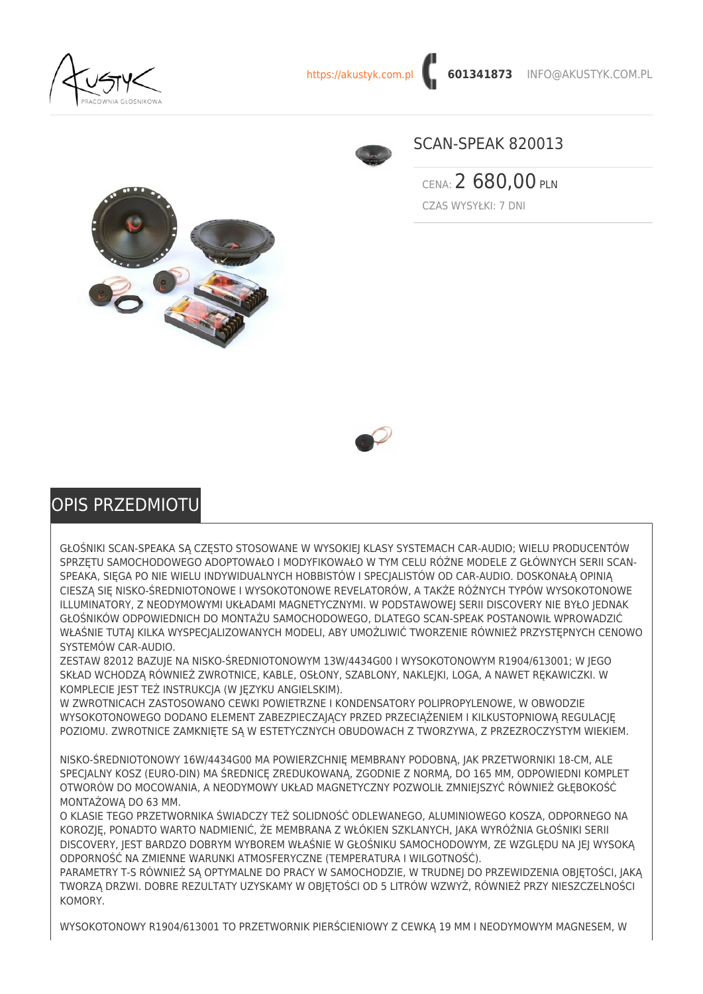



## SCAN-SPEAK 820013

CENA: 2 680,00 PLN CZAS WYSYŁKI: 7 DNI





## OPIS PRZEDMIOTU

GŁOŚNIKI SCAN-SPEAKA SĄ CZĘSTO STOSOWANE W WYSOKIEJ KLASY SYSTEMACH CAR-AUDIO; WIELU PRODUCENTÓW SPRZĘTU SAMOCHODOWEGO ADOPTOWAŁO I MODYFIKOWAŁO W TYM CELU RÓŻNE MODELE Z GŁÓWNYCH SERII SCAN-SPEAKA, SIEGA PO NIE WIELU INDYWIDUALNYCH HOBBISTÓW I SPECIALISTÓW OD CAR-AUDIO. DOSKONAŁA OPINIA CIESZĄ SIĘ NISKO-ŚREDNIOTONOWE I WYSOKOTONOWE REVELATORÓW, A TAKŻE RÓŻNYCH TYPÓW WYSOKOTONOWE ILLUMINATORY, Z NEODYMOWYMI UKŁADAMI MAGNETYCZNYMI. W PODSTAWOWEJ SERII DISCOVERY NIE BYŁO JEDNAK GŁOŚNIKÓW ODPOWIEDNICH DO MONTAŻU SAMOCHODOWEGO, DLATEGO SCAN-SPEAK POSTANOWIŁ WPROWADZIĆ WŁAŚNIE TUTAJ KILKA WYSPECJALIZOWANYCH MODELI, ABY UMOŻLIWIĆ TWORZENIE RÓWNIEŻ PRZYSTĘPNYCH CENOWO SYSTEMÓW CAR-AUDIO.

ZESTAW 82012 BAZUJE NA NISKO-ŚREDNIOTONOWYM 13W/4434G00 I WYSOKOTONOWYM R1904/613001; W JEGO SKŁAD WCHODZĄ RÓWNIEŻ ZWROTNICE, KABLE, OSŁONY, SZABLONY, NAKLEJKI, LOGA, A NAWET REKAWICZKI. W KOMPLECIE JEST TEŻ INSTRUKCJA (W JĘZYKU ANGIELSKIM).

W ZWROTNICACH ZASTOSOWANO CEWKI POWIETRZNE I KONDENSATORY POLIPROPYLENOWE, W OBWODZIE WYSOKOTONOWEGO DODANO ELEMENT ZABEZPIECZAJĄCY PRZED PRZECIĄŻENIEM I KILKUSTOPNIOWĄ REGULACJĘ POZIOMU. ZWROTNICE ZAMKNIĘTE SĄ W ESTETYCZNYCH OBUDOWACH Z TWORZYWA, Z PRZEZROCZYSTYM WIEKIEM.

NISKO-ŚREDNIOTONOWY 16W/4434G00 MA POWIERZCHNIĘ MEMBRANY PODOBNĄ, JAK PRZETWORNIKI 18-CM, ALE SPECJALNY KOSZ (EURO-DIN) MA ŚREDNICĘ ZREDUKOWANĄ, ZGODNIE Z NORMĄ, DO 165 MM, ODPOWIEDNI KOMPLET OTWORÓW DO MOCOWANIA, A NEODYMOWY UKŁAD MAGNETYCZNY POZWOLIŁ ZMNIEJSZYĆ RÓWNIEŻ GŁĘBOKOŚĆ MONTAŻOWĄ DO 63 MM.

O KLASIE TEGO PRZETWORNIKA ŚWIADCZY TEŻ SOLIDNOŚĆ ODLEWANEGO, ALUMINIOWEGO KOSZA, ODPORNEGO NA KOROZJĘ, PONADTO WARTO NADMIENIĆ, ŻE MEMBRANA Z WŁÓKIEN SZKLANYCH, JAKA WYRÓŻNIA GŁOŚNIKI SERII DISCOVERY, JEST BARDZO DOBRYM WYBOREM WŁAŚNIE W GŁOŚNIKU SAMOCHODOWYM, ZE WZGLĘDU NA JEJ WYSOKĄ ODPORNOŚĆ NA ZMIENNE WARUNKI ATMOSFERYCZNE (TEMPERATURA I WILGOTNOŚĆ).

PARAMETRY T-S RÓWNIEŻ SĄ OPTYMALNE DO PRACY W SAMOCHODZIE, W TRUDNEJ DO PRZEWIDZENIA OBJĘTOŚCI, JAKĄ TWORZĄ DRZWI. DOBRE REZULTATY UZYSKAMY W OBJĘTOŚCI OD 5 LITRÓW WZWYŻ, RÓWNIEŻ PRZY NIESZCZELNOŚCI KOMORY.

WYSOKOTONOWY R1904/613001 TO PRZETWORNIK PIERŚCIENIOWY Z CEWKĄ 19 MM I NEODYMOWYM MAGNESEM, W